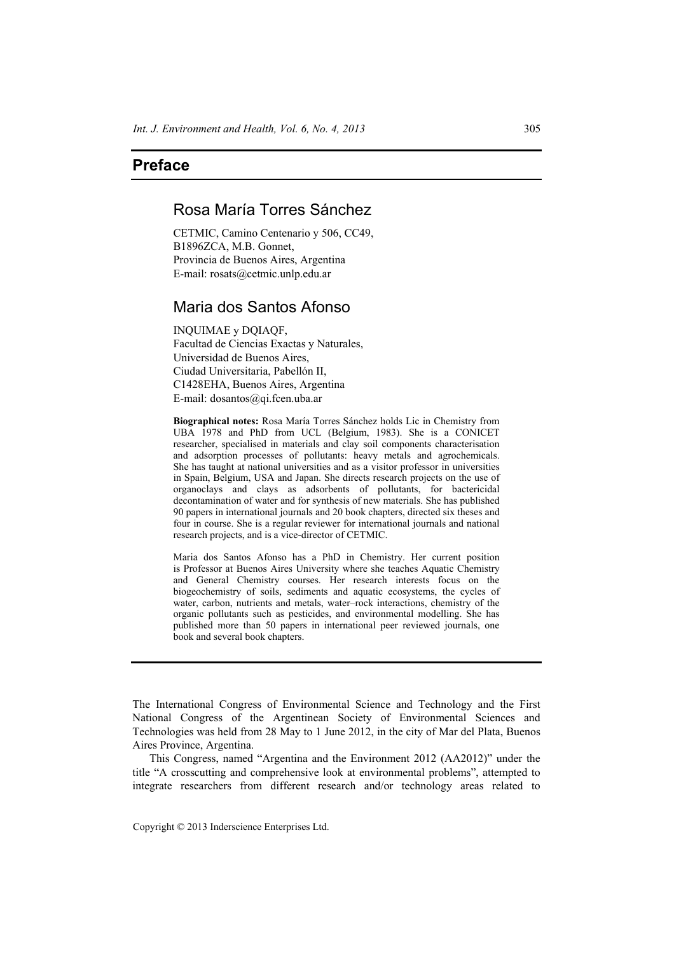## **Preface**

## Rosa María Torres Sánchez

CETMIC, Camino Centenario y 506, CC49, B1896ZCA, M.B. Gonnet, Provincia de Buenos Aires, Argentina E-mail: rosats@cetmic.unlp.edu.ar

## Maria dos Santos Afonso

INQUIMAE y DQIAQF, Facultad de Ciencias Exactas y Naturales, Universidad de Buenos Aires, Ciudad Universitaria, Pabellón II, C1428EHA, Buenos Aires, Argentina E-mail: dosantos@qi.fcen.uba.ar

**Biographical notes:** Rosa María Torres Sánchez holds Lic in Chemistry from UBA 1978 and PhD from UCL (Belgium, 1983). She is a CONICET researcher, specialised in materials and clay soil components characterisation and adsorption processes of pollutants: heavy metals and agrochemicals. She has taught at national universities and as a visitor professor in universities in Spain, Belgium, USA and Japan. She directs research projects on the use of organoclays and clays as adsorbents of pollutants, for bactericidal decontamination of water and for synthesis of new materials. She has published 90 papers in international journals and 20 book chapters, directed six theses and four in course. She is a regular reviewer for international journals and national research projects, and is a vice-director of CETMIC.

Maria dos Santos Afonso has a PhD in Chemistry. Her current position is Professor at Buenos Aires University where she teaches Aquatic Chemistry and General Chemistry courses. Her research interests focus on the biogeochemistry of soils, sediments and aquatic ecosystems, the cycles of water, carbon, nutrients and metals, water–rock interactions, chemistry of the organic pollutants such as pesticides, and environmental modelling. She has published more than 50 papers in international peer reviewed journals, one book and several book chapters.

The International Congress of Environmental Science and Technology and the First National Congress of the Argentinean Society of Environmental Sciences and Technologies was held from 28 May to 1 June 2012, in the city of Mar del Plata, Buenos Aires Province, Argentina.

This Congress, named "Argentina and the Environment 2012 (AA2012)" under the title "A crosscutting and comprehensive look at environmental problems", attempted to integrate researchers from different research and/or technology areas related to